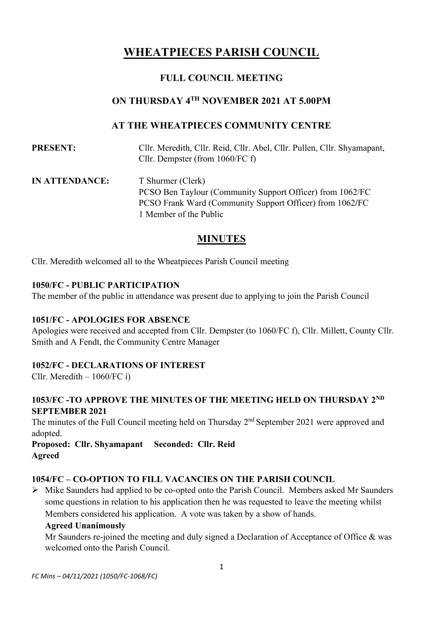# **WHEATPIECES PARISH COUNCIL**

# **FULL COUNCIL MEETING**

# **ON THURSDAY 4 TH NOVEMBER 2021 AT 5.00PM**

## **AT THE WHEATPIECES COMMUNITY CENTRE**

**PRESENT:** Cllr. Meredith, Cllr. Reid, Cllr. Abel, Cllr. Pullen, Cllr. Shyamapant, Cllr. Dempster (from 1060/FC f)

**IN ATTENDANCE:** T Shurmer (Clerk) PCSO Ben Taylour (Community Support Officer) from 1062/FC PCSO Frank Ward (Community Support Officer) from 1062**/**FC 1 Member of the Public

# **MINUTES**

Cllr. Meredith welcomed all to the Wheatpieces Parish Council meeting

#### **1050/FC - PUBLIC PARTICIPATION**

The member of the public in attendance was present due to applying to join the Parish Council

#### **1051/FC - APOLOGIES FOR ABSENCE**

Apologies were received and accepted from Cllr. Dempster (to 1060/FC f), Cllr. Millett, County Cllr. Smith and A Fendt, the Community Centre Manager

#### **1052/FC - DECLARATIONS OF INTEREST**

Cllr. Meredith – 1060/FC i)

#### 1053/FC -TO APPROVE THE MINUTES OF THE MEETING HELD ON THURSDAY 2<sup>ND</sup> **SEPTEMBER 2021**

The minutes of the Full Council meeting held on Thursday 2<sup>nd</sup> September 2021 were approved and adopted.

**Proposed: Cllr. Shyamapant Seconded: Cllr. Reid Agreed**

#### **1054/FC – CO-OPTION TO FILL VACANCIES ON THE PARISH COUNCIL**

➢ Mike Saunders had applied to be co-opted onto the Parish Council. Members asked Mr Saunders some questions in relation to his application then he was requested to leave the meeting whilst Members considered his application. A vote was taken by a show of hands.

#### **Agreed Unanimously**

Mr Saunders re-joined the meeting and duly signed a Declaration of Acceptance of Office & was welcomed onto the Parish Council.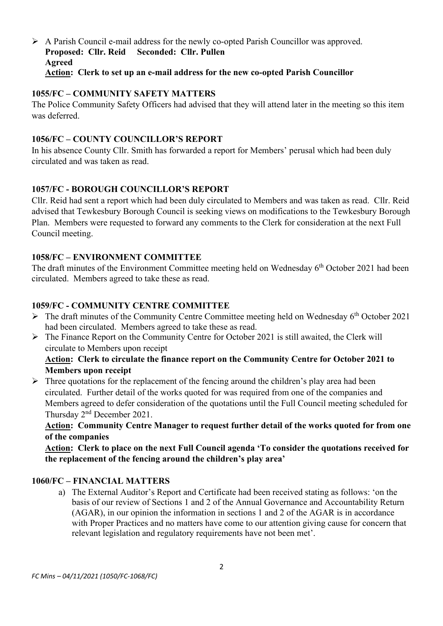#### $\triangleright$  A Parish Council e-mail address for the newly co-opted Parish Councillor was approved. **Proposed: Cllr. Reid Seconded: Cllr. Pullen Agreed Action: Clerk to set up an e-mail address for the new co-opted Parish Councillor**

#### **1055/FC – COMMUNITY SAFETY MATTERS**

The Police Community Safety Officers had advised that they will attend later in the meeting so this item was deferred.

#### **1056/FC – COUNTY COUNCILLOR'S REPORT**

In his absence County Cllr. Smith has forwarded a report for Members' perusal which had been duly circulated and was taken as read.

## **1057/FC - BOROUGH COUNCILLOR'S REPORT**

Cllr. Reid had sent a report which had been duly circulated to Members and was taken as read. Cllr. Reid advised that Tewkesbury Borough Council is seeking views on modifications to the Tewkesbury Borough Plan. Members were requested to forward any comments to the Clerk for consideration at the next Full Council meeting.

## **1058/FC – ENVIRONMENT COMMITTEE**

The draft minutes of the Environment Committee meeting held on Wednesday  $6<sup>th</sup>$  October 2021 had been circulated. Members agreed to take these as read.

## **1059/FC - COMMUNITY CENTRE COMMITTEE**

- $\triangleright$  The draft minutes of the Community Centre Committee meeting held on Wednesday 6<sup>th</sup> October 2021 had been circulated. Members agreed to take these as read.
- ➢ The Finance Report on the Community Centre for October 2021 is still awaited, the Clerk will circulate to Members upon receipt

#### **Action: Clerk to circulate the finance report on the Community Centre for October 2021 to Members upon receipt**

 $\triangleright$  Three quotations for the replacement of the fencing around the children's play area had been circulated. Further detail of the works quoted for was required from one of the companies and Members agreed to defer consideration of the quotations until the Full Council meeting scheduled for Thursday 2nd December 2021.

**Action: Community Centre Manager to request further detail of the works quoted for from one of the companies**

**Action: Clerk to place on the next Full Council agenda 'To consider the quotations received for the replacement of the fencing around the children's play area'**

#### **1060/FC – FINANCIAL MATTERS**

a) The External Auditor's Report and Certificate had been received stating as follows: 'on the basis of our review of Sections 1 and 2 of the Annual Governance and Accountability Return (AGAR), in our opinion the information in sections 1 and 2 of the AGAR is in accordance with Proper Practices and no matters have come to our attention giving cause for concern that relevant legislation and regulatory requirements have not been met'.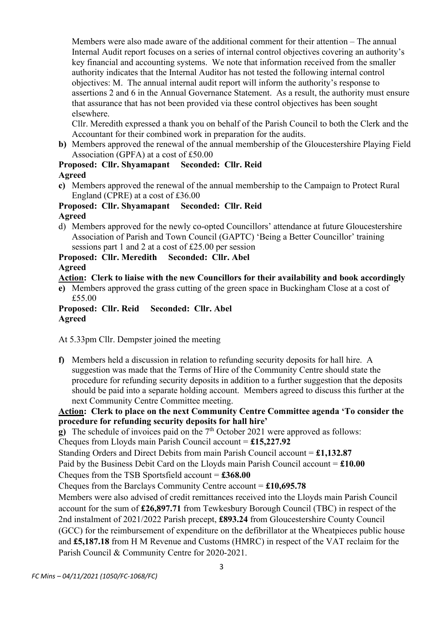Members were also made aware of the additional comment for their attention – The annual Internal Audit report focuses on a series of internal control objectives covering an authority's key financial and accounting systems. We note that information received from the smaller authority indicates that the Internal Auditor has not tested the following internal control objectives: M. The annual internal audit report will inform the authority's response to assertions 2 and 6 in the Annual Governance Statement. As a result, the authority must ensure that assurance that has not been provided via these control objectives has been sought elsewhere.

Cllr. Meredith expressed a thank you on behalf of the Parish Council to both the Clerk and the Accountant for their combined work in preparation for the audits.

**b)** Members approved the renewal of the annual membership of the Gloucestershire Playing Field Association (GPFA) at a cost of £50.00

#### **Proposed: Cllr. Shyamapant Seconded: Cllr. Reid Agreed**

**c)** Members approved the renewal of the annual membership to the Campaign to Protect Rural England (CPRE) at a cost of £36.00

#### **Proposed: Cllr. Shyamapant Seconded: Cllr. Reid Agreed**

d) Members approved for the newly co-opted Councillors' attendance at future Gloucestershire Association of Parish and Town Council (GAPTC) 'Being a Better Councillor' training sessions part 1 and 2 at a cost of £25.00 per session

# **Proposed: Cllr. Meredith Seconded: Cllr. Abel**

**Agreed**

## **Action: Clerk to liaise with the new Councillors for their availability and book accordingly**

**e)** Members approved the grass cutting of the green space in Buckingham Close at a cost of £55.00

**Proposed: Cllr. Reid Seconded: Cllr. Abel Agreed**

At 5.33pm Cllr. Dempster joined the meeting

**f)** Members held a discussion in relation to refunding security deposits for hall hire. A suggestion was made that the Terms of Hire of the Community Centre should state the procedure for refunding security deposits in addition to a further suggestion that the deposits should be paid into a separate holding account. Members agreed to discuss this further at the next Community Centre Committee meeting.

**Action: Clerk to place on the next Community Centre Committee agenda 'To consider the procedure for refunding security deposits for hall hire'**

**g**) The schedule of invoices paid on the 7<sup>th</sup> October 2021 were approved as follows:

Cheques from Lloyds main Parish Council account = **£15,227.92**

Standing Orders and Direct Debits from main Parish Council account = **£1,132.87**

Paid by the Business Debit Card on the Lloyds main Parish Council account = **£10.00**

Cheques from the TSB Sportsfield account = **£368.00**

Cheques from the Barclays Community Centre account = **£10,695.78**

Members were also advised of credit remittances received into the Lloyds main Parish Council account for the sum of **£26,897.71** from Tewkesbury Borough Council (TBC) in respect of the 2nd instalment of 2021/2022 Parish precept, **£893.24** from Gloucestershire County Council (GCC) for the reimbursement of expenditure on the defibrillator at the Wheatpieces public house and **£5,187.18** from H M Revenue and Customs (HMRC) in respect of the VAT reclaim for the Parish Council & Community Centre for 2020-2021.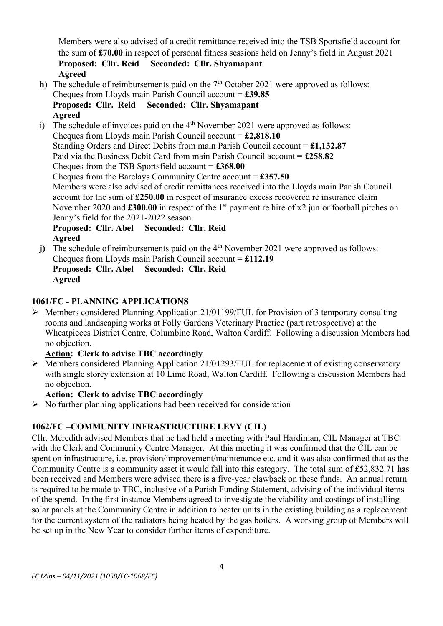Members were also advised of a credit remittance received into the TSB Sportsfield account for the sum of **£70.00** in respect of personal fitness sessions held on Jenny's field in August 2021 **Proposed: Cllr. Reid Seconded: Cllr. Shyamapant Agreed**

- **h)** The schedule of reimbursements paid on the  $7<sup>th</sup>$  October 2021 were approved as follows: Cheques from Lloyds main Parish Council account = **£39.85 Proposed: Cllr. Reid Seconded: Cllr. Shyamapant Agreed**
- i) The schedule of invoices paid on the  $4<sup>th</sup>$  November 2021 were approved as follows: Cheques from Lloyds main Parish Council account = **£2,818.10** Standing Orders and Direct Debits from main Parish Council account = **£1,132.87** Paid via the Business Debit Card from main Parish Council account = **£258.82** Cheques from the TSB Sportsfield account = **£368.00** Cheques from the Barclays Community Centre account = **£357.50** Members were also advised of credit remittances received into the Lloyds main Parish Council account for the sum of **£250.00** in respect of insurance excess recovered re insurance claim November 2020 and **£300.00** in respect of the 1<sup>st</sup> payment re hire of x2 junior football pitches on Jenny's field for the 2021-2022 season. **Proposed: Cllr. Abel Seconded: Cllr. Reid Agreed**
- j) The schedule of reimbursements paid on the 4<sup>th</sup> November 2021 were approved as follows: Cheques from Lloyds main Parish Council account = **£112.19 Proposed: Cllr. Abel Seconded: Cllr. Reid Agreed**

## **1061/FC - PLANNING APPLICATIONS**

➢ Members considered Planning Application 21/01199/FUL for Provision of 3 temporary consulting rooms and landscaping works at Folly Gardens Veterinary Practice (part retrospective) at the Wheatpieces District Centre, Columbine Road, Walton Cardiff. Following a discussion Members had no objection.

#### **Action: Clerk to advise TBC accordingly**

➢ Members considered Planning Application 21/01293/FUL for replacement of existing conservatory with single storey extension at 10 Lime Road, Walton Cardiff. Following a discussion Members had no objection.

#### **Action: Clerk to advise TBC accordingly**

 $\triangleright$  No further planning applications had been received for consideration

#### **1062/FC –COMMUNITY INFRASTRUCTURE LEVY (CIL)**

Cllr. Meredith advised Members that he had held a meeting with Paul Hardiman, CIL Manager at TBC with the Clerk and Community Centre Manager. At this meeting it was confirmed that the CIL can be spent on infrastructure, i.e. provision/improvement/maintenance etc. and it was also confirmed that as the Community Centre is a community asset it would fall into this category. The total sum of £52,832.71 has been received and Members were advised there is a five-year clawback on these funds. An annual return is required to be made to TBC, inclusive of a Parish Funding Statement, advising of the individual items of the spend. In the first instance Members agreed to investigate the viability and costings of installing solar panels at the Community Centre in addition to heater units in the existing building as a replacement for the current system of the radiators being heated by the gas boilers. A working group of Members will be set up in the New Year to consider further items of expenditure.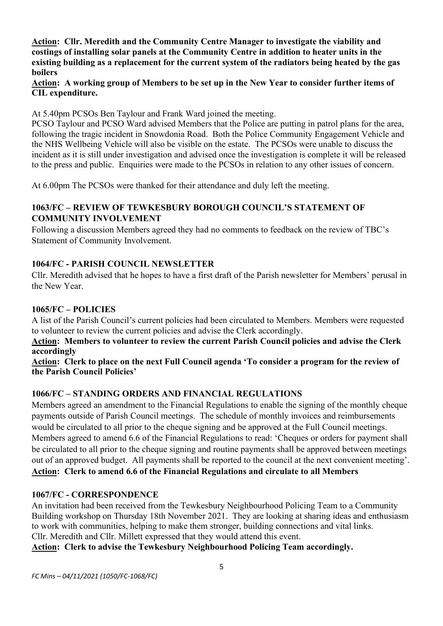**Action: Cllr. Meredith and the Community Centre Manager to investigate the viability and costings of installing solar panels at the Community Centre in addition to heater units in the existing building as a replacement for the current system of the radiators being heated by the gas boilers**

**Action: A working group of Members to be set up in the New Year to consider further items of CIL expenditure.**

At 5.40pm PCSOs Ben Taylour and Frank Ward joined the meeting.

PCSO Taylour and PCSO Ward advised Members that the Police are putting in patrol plans for the area, following the tragic incident in Snowdonia Road. Both the Police Community Engagement Vehicle and the NHS Wellbeing Vehicle will also be visible on the estate. The PCSOs were unable to discuss the incident as it is still under investigation and advised once the investigation is complete it will be released to the press and public. Enquiries were made to the PCSOs in relation to any other issues of concern.

At 6.00pm The PCSOs were thanked for their attendance and duly left the meeting.

## **1063/FC – REVIEW OF TEWKESBURY BOROUGH COUNCIL'S STATEMENT OF COMMUNITY INVOLVEMENT**

Following a discussion Members agreed they had no comments to feedback on the review of TBC's Statement of Community Involvement.

#### **1064/FC - PARISH COUNCIL NEWSLETTER**

Cllr. Meredith advised that he hopes to have a first draft of the Parish newsletter for Members' perusal in the New Year.

## **1065/FC – POLICIES**

A list of the Parish Council's current policies had been circulated to Members. Members were requested to volunteer to review the current policies and advise the Clerk accordingly.

**Action: Members to volunteer to review the current Parish Council policies and advise the Clerk accordingly**

**Action: Clerk to place on the next Full Council agenda 'To consider a program for the review of the Parish Council Policies'**

#### **1066/FC – STANDING ORDERS AND FINANCIAL REGULATIONS**

Members agreed an amendment to the Financial Regulations to enable the signing of the monthly cheque payments outside of Parish Council meetings. The schedule of monthly invoices and reimbursements would be circulated to all prior to the cheque signing and be approved at the Full Council meetings. Members agreed to amend 6.6 of the Financial Regulations to read: 'Cheques or orders for payment shall be circulated to all prior to the cheque signing and routine payments shall be approved between meetings out of an approved budget. All payments shall be reported to the council at the next convenient meeting'. **Action: Clerk to amend 6.6 of the Financial Regulations and circulate to all Members**

#### **1067/FC - CORRESPONDENCE**

An invitation had been received from the Tewkesbury Neighbourhood Policing Team to a Community Building workshop on Thursday 18th November 2021. They are looking at sharing ideas and enthusiasm to work with communities, helping to make them stronger, building connections and vital links. Cllr. Meredith and Cllr. Millett expressed that they would attend this event.

**Action: Clerk to advise the Tewkesbury Neighbourhood Policing Team accordingly.**